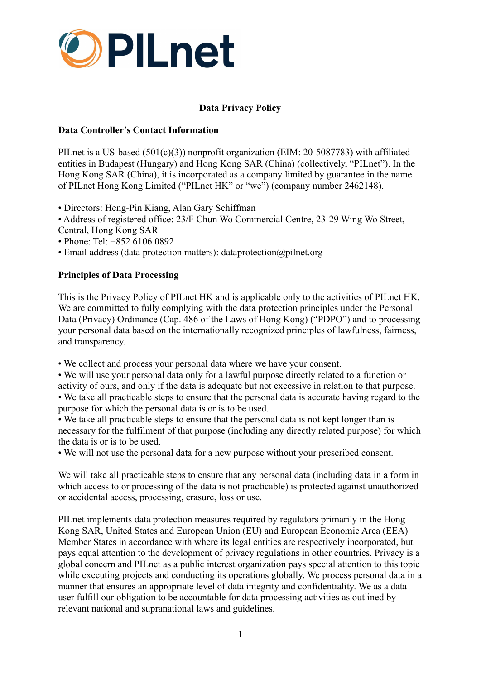

# **Data Privacy Policy**

### **Data Controller's Contact Information**

PILnet is a US-based (501(c)(3)) nonprofit organization (EIM: 20-5087783) with affiliated entities in Budapest (Hungary) and Hong Kong SAR (China) (collectively, "PILnet"). In the Hong Kong SAR (China), it is incorporated as a company limited by guarantee in the name of PILnet Hong Kong Limited ("PILnet HK" or "we") (company number 2462148).

• Directors: Heng-Pin Kiang, Alan Gary Schiffman

• Address of registered office: 23/F Chun Wo Commercial Centre, 23-29 Wing Wo Street, Central, Hong Kong SAR

- Phone: Tel: +852 6106 0892
- Email address (data protection matters): dataprotection@pilnet.org

### **Principles of Data Processing**

This is the Privacy Policy of PILnet HK and is applicable only to the activities of PILnet HK. We are committed to fully complying with the data protection principles under the Personal Data (Privacy) Ordinance (Cap. 486 of the Laws of Hong Kong) ("PDPO") and to processing your personal data based on the internationally recognized principles of lawfulness, fairness, and transparency.

• We collect and process your personal data where we have your consent.

• We will use your personal data only for a lawful purpose directly related to a function or activity of ours, and only if the data is adequate but not excessive in relation to that purpose. • We take all practicable steps to ensure that the personal data is accurate having regard to the

purpose for which the personal data is or is to be used.

• We take all practicable steps to ensure that the personal data is not kept longer than is necessary for the fulfilment of that purpose (including any directly related purpose) for which the data is or is to be used.

• We will not use the personal data for a new purpose without your prescribed consent.

We will take all practicable steps to ensure that any personal data (including data in a form in which access to or processing of the data is not practicable) is protected against unauthorized or accidental access, processing, erasure, loss or use.

PILnet implements data protection measures required by regulators primarily in the Hong Kong SAR, United States and European Union (EU) and European Economic Area (EEA) Member States in accordance with where its legal entities are respectively incorporated, but pays equal attention to the development of privacy regulations in other countries. Privacy is a global concern and PILnet as a public interest organization pays special attention to this topic while executing projects and conducting its operations globally. We process personal data in a manner that ensures an appropriate level of data integrity and confidentiality. We as a data user fulfill our obligation to be accountable for data processing activities as outlined by relevant national and supranational laws and guidelines.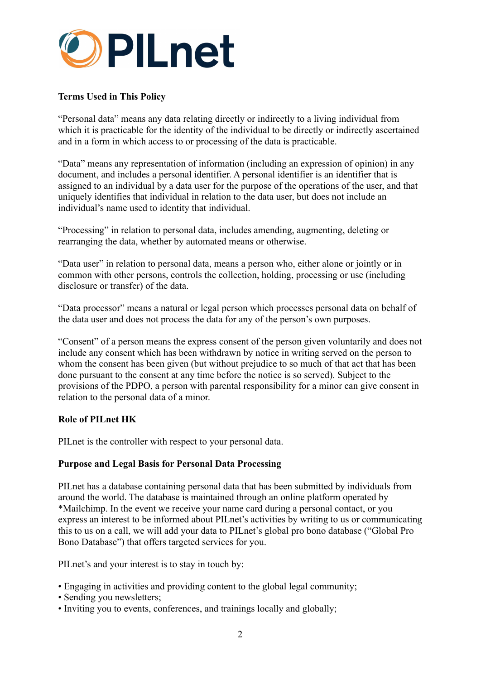

# **Terms Used in This Policy**

"Personal data" means any data relating directly or indirectly to a living individual from which it is practicable for the identity of the individual to be directly or indirectly ascertained and in a form in which access to or processing of the data is practicable.

"Data" means any representation of information (including an expression of opinion) in any document, and includes a personal identifier. A personal identifier is an identifier that is assigned to an individual by a data user for the purpose of the operations of the user, and that uniquely identifies that individual in relation to the data user, but does not include an individual's name used to identity that individual.

"Processing" in relation to personal data, includes amending, augmenting, deleting or rearranging the data, whether by automated means or otherwise.

"Data user" in relation to personal data, means a person who, either alone or jointly or in common with other persons, controls the collection, holding, processing or use (including disclosure or transfer) of the data.

"Data processor" means a natural or legal person which processes personal data on behalf of the data user and does not process the data for any of the person's own purposes.

"Consent" of a person means the express consent of the person given voluntarily and does not include any consent which has been withdrawn by notice in writing served on the person to whom the consent has been given (but without prejudice to so much of that act that has been done pursuant to the consent at any time before the notice is so served). Subject to the provisions of the PDPO, a person with parental responsibility for a minor can give consent in relation to the personal data of a minor.

#### **Role of PILnet HK**

PILnet is the controller with respect to your personal data.

### **Purpose and Legal Basis for Personal Data Processing**

PILnet has a database containing personal data that has been submitted by individuals from around the world. The database is maintained through an online platform operated by \*Mailchimp. In the event we receive your name card during a personal contact, or you express an interest to be informed about PILnet's activities by writing to us or communicating this to us on a call, we will add your data to PILnet's global pro bono database ("Global Pro Bono Database") that offers targeted services for you.

PILnet's and your interest is to stay in touch by:

- Engaging in activities and providing content to the global legal community;
- Sending you newsletters;
- Inviting you to events, conferences, and trainings locally and globally;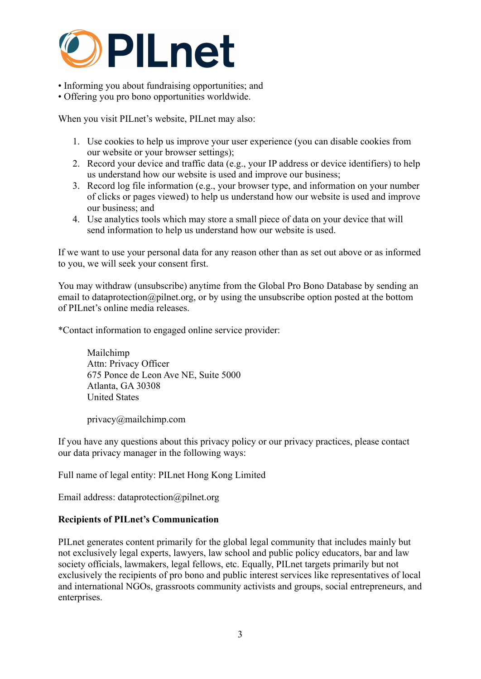

• Informing you about fundraising opportunities; and

• Offering you pro bono opportunities worldwide.

When you visit PILnet's website, PILnet may also:

- 1. Use cookies to help us improve your user experience (you can disable cookies from our website or your browser settings);
- 2. Record your device and traffic data (e.g., your IP address or device identifiers) to help us understand how our website is used and improve our business;
- 3. Record log file information (e.g., your browser type, and information on your number of clicks or pages viewed) to help us understand how our website is used and improve our business; and
- 4. Use analytics tools which may store a small piece of data on your device that will send information to help us understand how our website is used.

If we want to use your personal data for any reason other than as set out above or as informed to you, we will seek your consent first.

You may withdraw (unsubscribe) anytime from the Global Pro Bono Database by sending an email to dataprotection@pilnet.org, or by using the unsubscribe option posted at the bottom of PILnet's online media releases.

\*Contact information to engaged online service provider:

Mailchimp Attn: Privacy Officer 675 Ponce de Leon Ave NE, Suite 5000 Atlanta, GA 30308 United States

privacy@mailchimp.com

If you have any questions about this privacy policy or our privacy practices, please contact our data privacy manager in the following ways:

Full name of legal entity: PILnet Hong Kong Limited

Email address: dataprotection@pilnet.org

### **Recipients of PILnet's Communication**

PILnet generates content primarily for the global legal community that includes mainly but not exclusively legal experts, lawyers, law school and public policy educators, bar and law society officials, lawmakers, legal fellows, etc. Equally, PILnet targets primarily but not exclusively the recipients of pro bono and public interest services like representatives of local and international NGOs, grassroots community activists and groups, social entrepreneurs, and enterprises.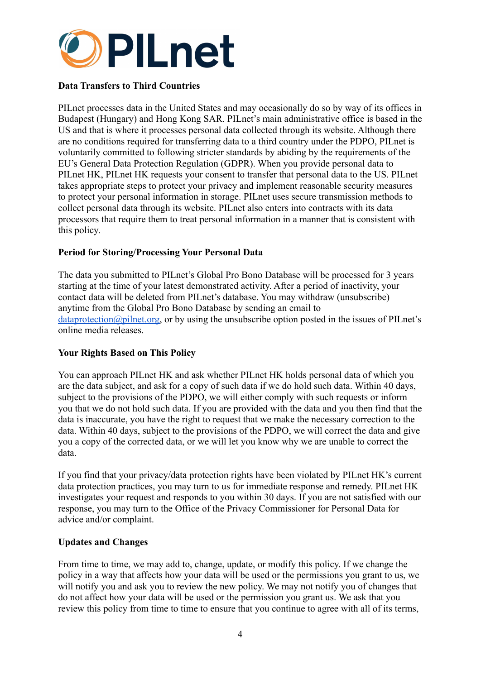

## **Data Transfers to Third Countries**

PILnet processes data in the United States and may occasionally do so by way of its offices in Budapest (Hungary) and Hong Kong SAR. PILnet's main administrative office is based in the US and that is where it processes personal data collected through its website. Although there are no conditions required for transferring data to a third country under the PDPO, PILnet is voluntarily committed to following stricter standards by abiding by the requirements of the EU's General Data Protection Regulation (GDPR). When you provide personal data to PILnet HK, PILnet HK requests your consent to transfer that personal data to the US. PILnet takes appropriate steps to protect your privacy and implement reasonable security measures to protect your personal information in storage. PILnet uses secure transmission methods to collect personal data through its website. PILnet also enters into contracts with its data processors that require them to treat personal information in a manner that is consistent with this policy.

### **Period for Storing/Processing Your Personal Data**

The data you submitted to PILnet's Global Pro Bono Database will be processed for 3 years starting at the time of your latest demonstrated activity. After a period of inactivity, your contact data will be deleted from PILnet's database. You may withdraw (unsubscribe) anytime from the Global Pro Bono Database by sending an email to  $dataprotein@pilnet.org$ , or by using the unsubscribe option posted in the issues of PILnet's online media releases.

### **Your Rights Based on This Policy**

You can approach PILnet HK and ask whether PILnet HK holds personal data of which you are the data subject, and ask for a copy of such data if we do hold such data. Within 40 days, subject to the provisions of the PDPO, we will either comply with such requests or inform you that we do not hold such data. If you are provided with the data and you then find that the data is inaccurate, you have the right to request that we make the necessary correction to the data. Within 40 days, subject to the provisions of the PDPO, we will correct the data and give you a copy of the corrected data, or we will let you know why we are unable to correct the data.

If you find that your privacy/data protection rights have been violated by PILnet HK's current data protection practices, you may turn to us for immediate response and remedy. PILnet HK investigates your request and responds to you within 30 days. If you are not satisfied with our response, you may turn to the Office of the Privacy Commissioner for Personal Data for advice and/or complaint.

#### **Updates and Changes**

From time to time, we may add to, change, update, or modify this policy. If we change the policy in a way that affects how your data will be used or the permissions you grant to us, we will notify you and ask you to review the new policy. We may not notify you of changes that do not affect how your data will be used or the permission you grant us. We ask that you review this policy from time to time to ensure that you continue to agree with all of its terms,